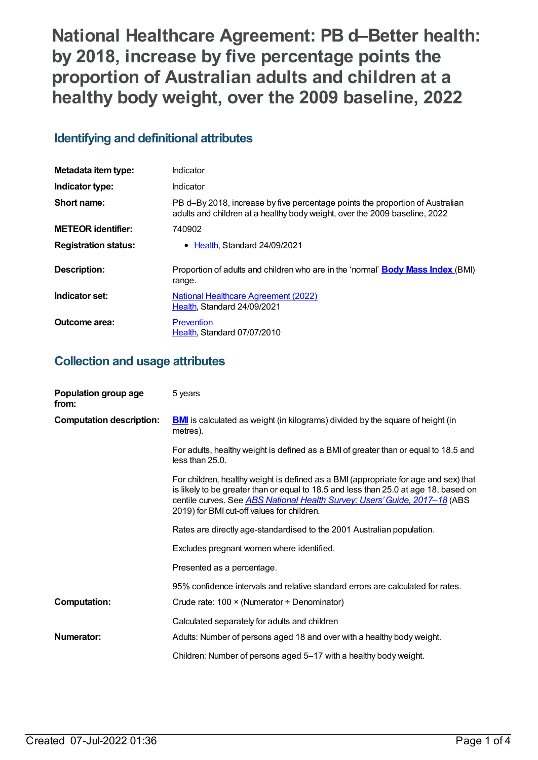**National Healthcare Agreement: PB d–Better health: by 2018, increase by five percentage points the proportion of Australian adults and children at a healthy body weight, over the 2009 baseline, 2022**

# **Identifying and definitional attributes**

| Metadata item type:         | Indicator                                                                                                                                                   |
|-----------------------------|-------------------------------------------------------------------------------------------------------------------------------------------------------------|
| Indicator type:             | Indicator                                                                                                                                                   |
| Short name:                 | PB d-By 2018, increase by five percentage points the proportion of Australian<br>adults and children at a healthy body weight, over the 2009 baseline, 2022 |
| <b>METEOR identifier:</b>   | 740902                                                                                                                                                      |
| <b>Registration status:</b> | • Health, Standard 24/09/2021                                                                                                                               |
| Description:                | Proportion of adults and children who are in the 'normal' <b>Body Mass Index</b> (BMI)<br>range.                                                            |
| Indicator set:              | <b>National Healthcare Agreement (2022)</b><br>Health, Standard 24/09/2021                                                                                  |
| Outcome area:               | <b>Prevention</b><br>Health, Standard 07/07/2010                                                                                                            |

# **Collection and usage attributes**

| Population group age<br>from:   | 5 years                                                                                                                                                                                                                                                                                                         |
|---------------------------------|-----------------------------------------------------------------------------------------------------------------------------------------------------------------------------------------------------------------------------------------------------------------------------------------------------------------|
| <b>Computation description:</b> | <b>BMI</b> is calculated as weight (in kilograms) divided by the square of height (in<br>metres).                                                                                                                                                                                                               |
|                                 | For adults, healthy weight is defined as a BMI of greater than or equal to 18.5 and<br>less than 25.0.                                                                                                                                                                                                          |
|                                 | For children, healthy weight is defined as a BMI (appropriate for age and sex) that<br>is likely to be greater than or equal to 18.5 and less than 25.0 at age 18, based on<br>centile curves. See <b>ABS National Health Survey: Users' Guide</b> , 2017-18 (ABS<br>2019) for BMI cut-off values for children. |
|                                 | Rates are directly age-standardised to the 2001 Australian population.                                                                                                                                                                                                                                          |
|                                 | Excludes pregnant women where identified.                                                                                                                                                                                                                                                                       |
|                                 | Presented as a percentage.                                                                                                                                                                                                                                                                                      |
|                                 | 95% confidence intervals and relative standard errors are calculated for rates.                                                                                                                                                                                                                                 |
| <b>Computation:</b>             | Crude rate: 100 × (Numerator ÷ Denominator)                                                                                                                                                                                                                                                                     |
|                                 | Calculated separately for adults and children                                                                                                                                                                                                                                                                   |
| Numerator:                      | Adults: Number of persons aged 18 and over with a healthy body weight.                                                                                                                                                                                                                                          |
|                                 | Children: Number of persons aged 5-17 with a healthy body weight.                                                                                                                                                                                                                                               |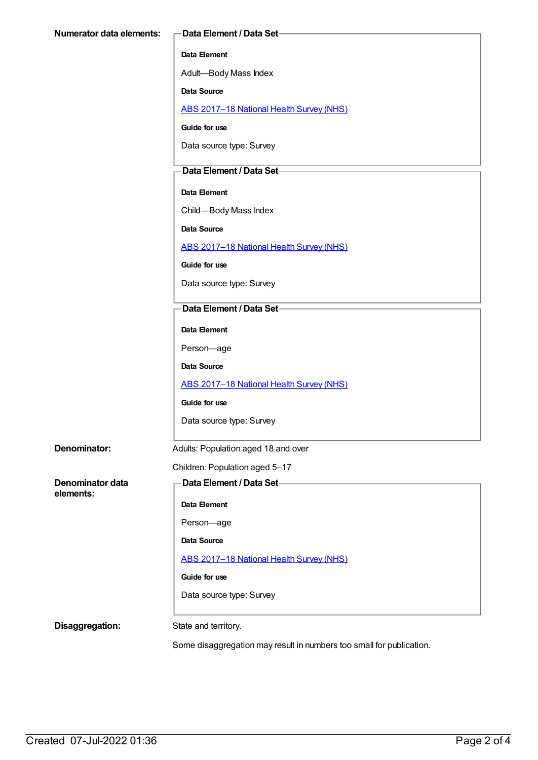#### **Data Element**

Adult—Body Mass Index

**Data Source**

ABS [2017–18](https://meteor.aihw.gov.au/content/716316) National Health Survey (NHS)

**Guide for use**

Data source type: Survey

### **Data Element / Data Set**

### **Data Element**

Child—Body Mass Index

**Data Source**

ABS [2017–18](https://meteor.aihw.gov.au/content/716316) National Health Survey (NHS)

**Guide for use**

Data source type: Survey

### **Data Element / Data Set**

**Data Element**

Person—age

**Data Source**

ABS [2017–18](https://meteor.aihw.gov.au/content/716316) National Health Survey (NHS)

**Guide for use**

Data source type: Survey

**Denominator:** Adults: Population aged 18 and over

Children: Population aged 5–17

**Denominator data elements:**

**Data Element / Data Set**

**Data Element**

Person—age

**Data Source**

ABS [2017–18](https://meteor.aihw.gov.au/content/716316) National Health Survey (NHS)

**Guide for use**

Data source type: Survey

**Disaggregation:** State and territory.

Some disaggregation may result in numbers too small for publication.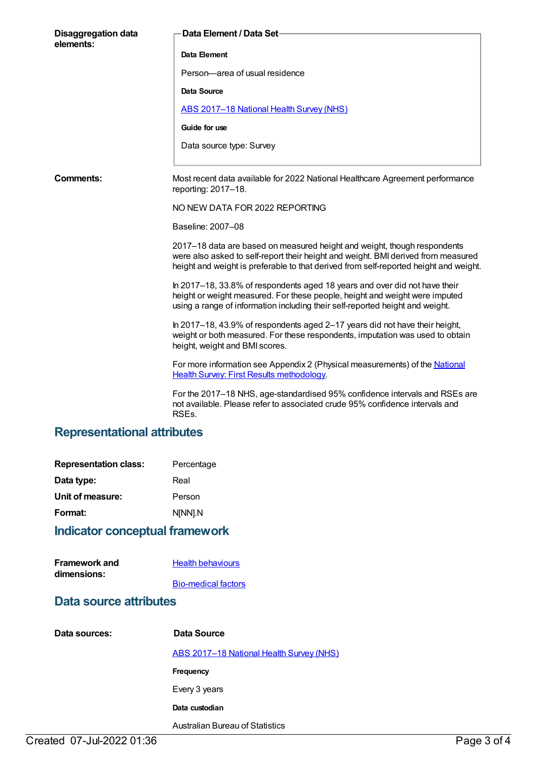| <b>Disaggregation data</b><br>elements: | Data Element / Data Set-                                                                                                                                                                                                                               |
|-----------------------------------------|--------------------------------------------------------------------------------------------------------------------------------------------------------------------------------------------------------------------------------------------------------|
|                                         | Data Element                                                                                                                                                                                                                                           |
|                                         | Person-area of usual residence                                                                                                                                                                                                                         |
|                                         | Data Source                                                                                                                                                                                                                                            |
|                                         | ABS 2017-18 National Health Survey (NHS)                                                                                                                                                                                                               |
|                                         | Guide for use                                                                                                                                                                                                                                          |
|                                         | Data source type: Survey                                                                                                                                                                                                                               |
| Comments:                               | Most recent data available for 2022 National Healthcare Agreement performance<br>reporting: 2017-18.                                                                                                                                                   |
|                                         | NO NEW DATA FOR 2022 REPORTING                                                                                                                                                                                                                         |
|                                         | Baseline: 2007-08                                                                                                                                                                                                                                      |
|                                         | 2017–18 data are based on measured height and weight, though respondents<br>were also asked to self-report their height and weight. BMI derived from measured<br>height and weight is preferable to that derived from self-reported height and weight. |
|                                         | In 2017-18, 33.8% of respondents aged 18 years and over did not have their<br>height or weight measured. For these people, height and weight were imputed<br>using a range of information including their self-reported height and weight.             |
|                                         | In 2017–18, 43.9% of respondents aged 2–17 years did not have their height,<br>weight or both measured. For these respondents, imputation was used to obtain<br>height, weight and BMI scores.                                                         |
|                                         | For more information see Appendix 2 (Physical measurements) of the National<br><b>Health Survey: First Results methodology.</b>                                                                                                                        |
|                                         | For the 2017-18 NHS, age-standardised 95% confidence intervals and RSEs are<br>not available. Please refer to associated crude 95% confidence intervals and<br>RSEs.                                                                                   |

# **Representational attributes**

| <b>Representation class:</b> | Percentage |
|------------------------------|------------|
| Data type:                   | Real       |
| Unit of measure:             | Person     |
| Format:                      | N[NN].N    |

# **Indicator conceptual framework**

| <b>Framework and</b> | <b>Health behaviours</b>   |
|----------------------|----------------------------|
| dimensions:          |                            |
|                      | <b>Bio-medical factors</b> |

# **Data source attributes**

| Data sources: | Data Source                              |
|---------------|------------------------------------------|
|               | ABS 2017-18 National Health Survey (NHS) |
|               | Frequency                                |
|               | Every 3 years                            |
|               | Data custodian                           |
|               | Australian Bureau of Statistics          |